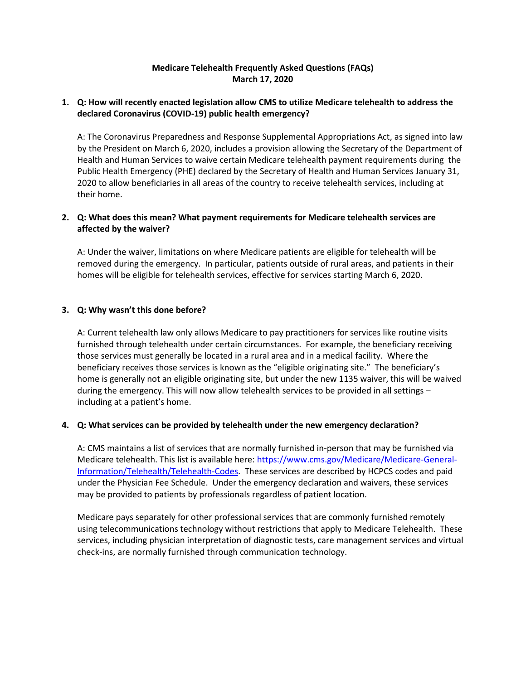# **Medicare Telehealth Frequently Asked Questions (FAQs) March 17, 2020**

### **1. Q: How will recently enacted legislation allow CMS to utilize Medicare telehealth to address the declared Coronavirus (COVID-19) public health emergency?**

A: The Coronavirus Preparedness and Response Supplemental Appropriations Act, as signed into law by the President on March 6, 2020, includes a provision allowing the Secretary of the Department of Health and Human Services to waive certain Medicare telehealth payment requirements during the Public Health Emergency (PHE) declared by the Secretary of Health and Human Services January 31, 2020 to allow beneficiaries in all areas of the country to receive telehealth services, including at their home.

## **2. Q: What does this mean? What payment requirements for Medicare telehealth services are affected by the waiver?**

A: Under the waiver, limitations on where Medicare patients are eligible for telehealth will be removed during the emergency. In particular, patients outside of rural areas, and patients in their homes will be eligible for telehealth services, effective for services starting March 6, 2020.

## **3. Q: Why wasn't this done before?**

A: Current telehealth law only allows Medicare to pay practitioners for services like routine visits furnished through telehealth under certain circumstances. For example, the beneficiary receiving those services must generally be located in a rural area and in a medical facility. Where the beneficiary receives those services is known as the "eligible originating site." The beneficiary's home is generally not an eligible originating site, but under the new 1135 waiver, this will be waived during the emergency. This will now allow telehealth services to be provided in all settings – including at a patient's home.

### **4. Q: What services can be provided by telehealth under the new emergency declaration?**

A: CMS maintains a list of services that are normally furnished in-person that may be furnished via Medicare telehealth. This list is available here: [https://www.cms.gov/Medicare/Medicare-General-](https://www.cms.gov/Medicare/Medicare-General-Information/Telehealth/Telehealth-Codes)[Information/Telehealth/Telehealth-Codes.](https://www.cms.gov/Medicare/Medicare-General-Information/Telehealth/Telehealth-Codes) These services are described by HCPCS codes and paid under the Physician Fee Schedule. Under the emergency declaration and waivers, these services may be provided to patients by professionals regardless of patient location.

Medicare pays separately for other professional services that are commonly furnished remotely using telecommunications technology without restrictions that apply to Medicare Telehealth. These services, including physician interpretation of diagnostic tests, care management services and virtual check-ins, are normally furnished through communication technology.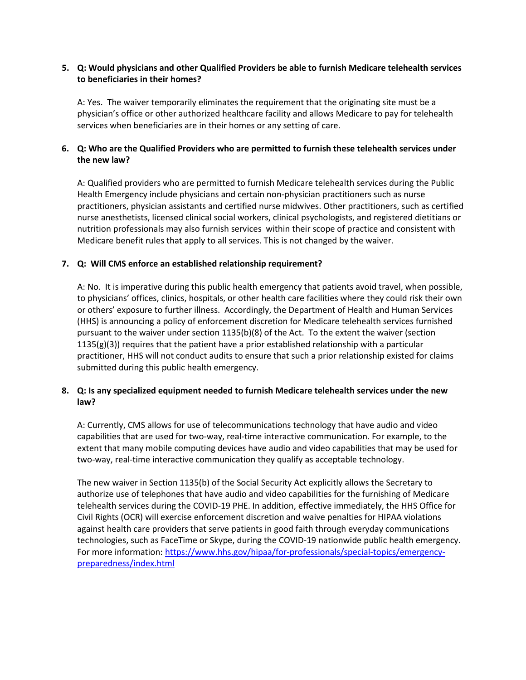## **5. Q: Would physicians and other Qualified Providers be able to furnish Medicare telehealth services to beneficiaries in their homes?**

A: Yes. The waiver temporarily eliminates the requirement that the originating site must be a physician's office or other authorized healthcare facility and allows Medicare to pay for telehealth services when beneficiaries are in their homes or any setting of care.

## **6. Q: Who are the Qualified Providers who are permitted to furnish these telehealth services under the new law?**

A: Qualified providers who are permitted to furnish Medicare telehealth services during the Public Health Emergency include physicians and certain non-physician practitioners such as nurse practitioners, physician assistants and certified nurse midwives. Other practitioners, such as certified nurse anesthetists, licensed clinical social workers, clinical psychologists, and registered dietitians or nutrition professionals may also furnish services within their scope of practice and consistent with Medicare benefit rules that apply to all services. This is not changed by the waiver.

### **7. Q: Will CMS enforce an established relationship requirement?**

A: No. It is imperative during this public health emergency that patients avoid travel, when possible, to physicians' offices, clinics, hospitals, or other health care facilities where they could risk their own or others' exposure to further illness. Accordingly, the Department of Health and Human Services (HHS) is announcing a policy of enforcement discretion for Medicare telehealth services furnished pursuant to the waiver under section 1135(b)(8) of the Act. To the extent the waiver (section  $1135(g)(3)$ ) requires that the patient have a prior established relationship with a particular practitioner, HHS will not conduct audits to ensure that such a prior relationship existed for claims submitted during this public health emergency.

## **8. Q: Is any specialized equipment needed to furnish Medicare telehealth services under the new law?**

A: Currently, CMS allows for use of telecommunications technology that have audio and video capabilities that are used for two-way, real-time interactive communication. For example, to the extent that many mobile computing devices have audio and video capabilities that may be used for two-way, real-time interactive communication they qualify as acceptable technology.

The new waiver in Section 1135(b) of the Social Security Act explicitly allows the Secretary to authorize use of telephones that have audio and video capabilities for the furnishing of Medicare telehealth services during the COVID-19 PHE. In addition, effective immediately, the HHS Office for Civil Rights (OCR) will exercise enforcement discretion and waive penalties for HIPAA violations against health care providers that serve patients in good faith through everyday communications technologies, such as FaceTime or Skype, during the COVID-19 nationwide public health emergency. For more information: [https://www.hhs.gov/hipaa/for-professionals/special-topics/emergency](https://www.hhs.gov/hipaa/for-professionals/special-topics/emergency-preparedness/index.html)[preparedness/index.html](https://www.hhs.gov/hipaa/for-professionals/special-topics/emergency-preparedness/index.html)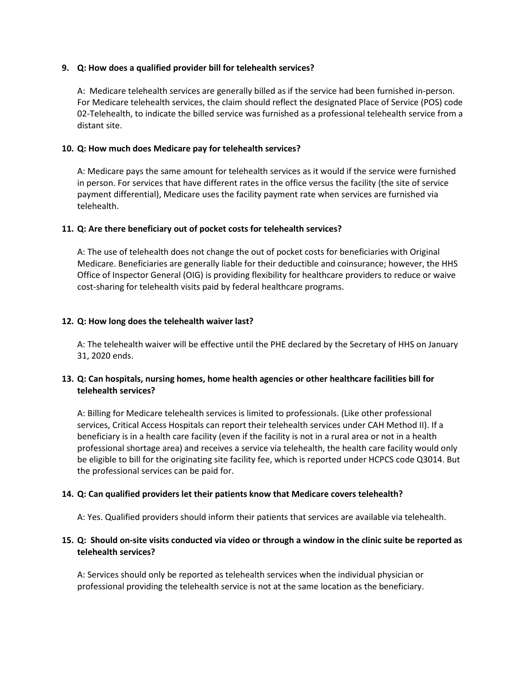### **9. Q: How does a qualified provider bill for telehealth services?**

A: Medicare telehealth services are generally billed as if the service had been furnished in-person. For Medicare telehealth services, the claim should reflect the designated Place of Service (POS) code 02-Telehealth, to indicate the billed service was furnished as a professional telehealth service from a distant site.

### **10. Q: How much does Medicare pay for telehealth services?**

A: Medicare pays the same amount for telehealth services as it would if the service were furnished in person. For services that have different rates in the office versus the facility (the site of service payment differential), Medicare uses the facility payment rate when services are furnished via telehealth.

#### **11. Q: Are there beneficiary out of pocket costs for telehealth services?**

A: The use of telehealth does not change the out of pocket costs for beneficiaries with Original Medicare. Beneficiaries are generally liable for their deductible and coinsurance; however, the HHS Office of Inspector General (OIG) is providing flexibility for healthcare providers to reduce or waive cost-sharing for telehealth visits paid by federal healthcare programs.

#### **12. Q: How long does the telehealth waiver last?**

A: The telehealth waiver will be effective until the PHE declared by the Secretary of HHS on January 31, 2020 ends.

## **13. Q: Can hospitals, nursing homes, home health agencies or other healthcare facilities bill for telehealth services?**

A: Billing for Medicare telehealth services is limited to professionals. (Like other professional services, Critical Access Hospitals can report their telehealth services under CAH Method II). If a beneficiary is in a health care facility (even if the facility is not in a rural area or not in a health professional shortage area) and receives a service via telehealth, the health care facility would only be eligible to bill for the originating site facility fee, which is reported under HCPCS code Q3014. But the professional services can be paid for.

### **14. Q: Can qualified providers let their patients know that Medicare covers telehealth?**

A: Yes. Qualified providers should inform their patients that services are available via telehealth.

## **15. Q: Should on-site visits conducted via video or through a window in the clinic suite be reported as telehealth services?**

A: Services should only be reported as telehealth services when the individual physician or professional providing the telehealth service is not at the same location as the beneficiary.